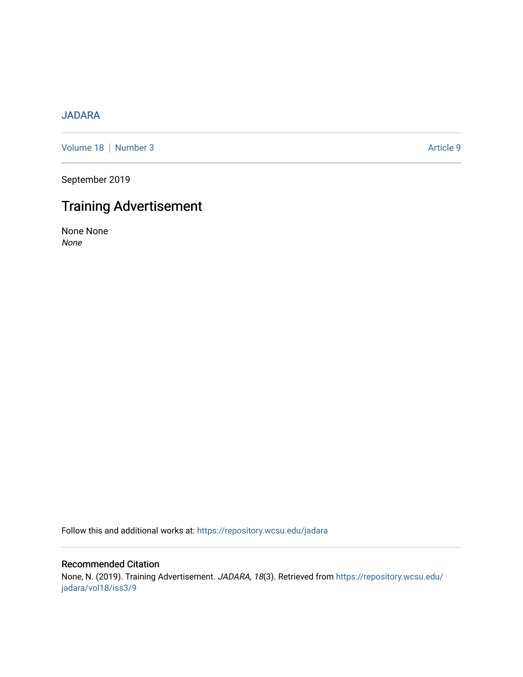## [JADARA](https://repository.wcsu.edu/jadara)

[Volume 18](https://repository.wcsu.edu/jadara/vol18) | [Number 3](https://repository.wcsu.edu/jadara/vol18/iss3) Article 9

September 2019

## Training Advertisement

None None None

Follow this and additional works at: [https://repository.wcsu.edu/jadara](https://repository.wcsu.edu/jadara?utm_source=repository.wcsu.edu%2Fjadara%2Fvol18%2Fiss3%2F9&utm_medium=PDF&utm_campaign=PDFCoverPages)

## Recommended Citation None, N. (2019). Training Advertisement. JADARA, 18(3). Retrieved from [https://repository.wcsu.edu/](https://repository.wcsu.edu/jadara/vol18/iss3/9?utm_source=repository.wcsu.edu%2Fjadara%2Fvol18%2Fiss3%2F9&utm_medium=PDF&utm_campaign=PDFCoverPages) [jadara/vol18/iss3/9](https://repository.wcsu.edu/jadara/vol18/iss3/9?utm_source=repository.wcsu.edu%2Fjadara%2Fvol18%2Fiss3%2F9&utm_medium=PDF&utm_campaign=PDFCoverPages)